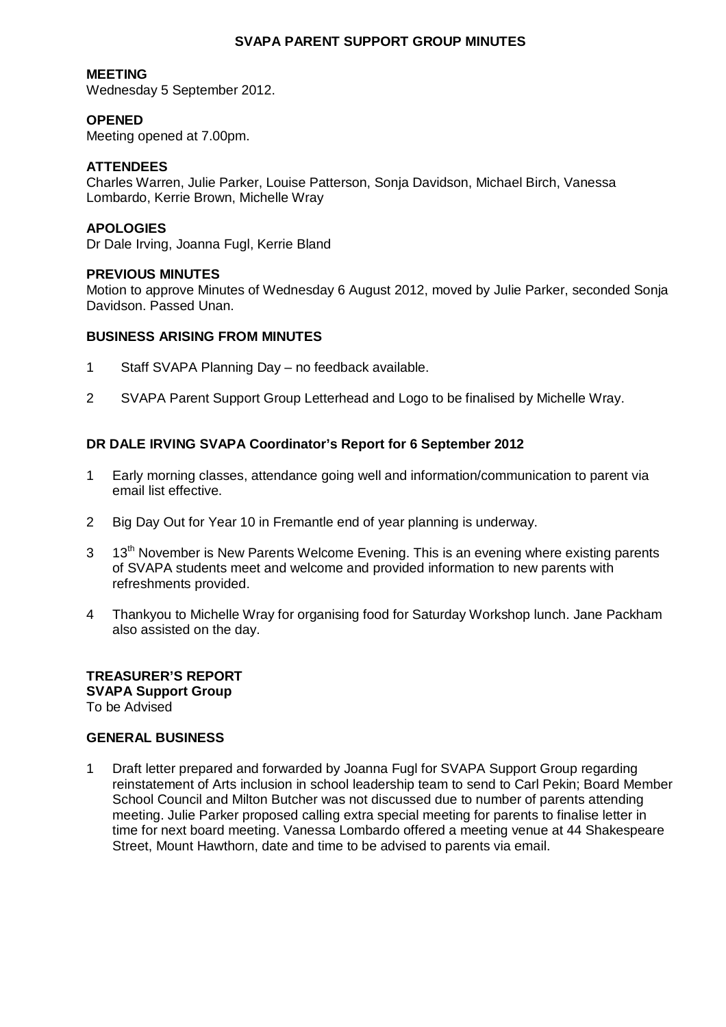## **SVAPA PARENT SUPPORT GROUP MINUTES**

## **MEETING**

Wednesday 5 September 2012.

## **OPENED**

Meeting opened at 7.00pm.

## **ATTENDEES**

Charles Warren, Julie Parker, Louise Patterson, Sonja Davidson, Michael Birch, Vanessa Lombardo, Kerrie Brown, Michelle Wray

### **APOLOGIES**

Dr Dale Irving, Joanna Fugl, Kerrie Bland

### **PREVIOUS MINUTES**

Motion to approve Minutes of Wednesday 6 August 2012, moved by Julie Parker, seconded Sonja Davidson. Passed Unan.

### **BUSINESS ARISING FROM MINUTES**

- 1 Staff SVAPA Planning Day no feedback available.
- 2 SVAPA Parent Support Group Letterhead and Logo to be finalised by Michelle Wray.

## **DR DALE IRVING SVAPA Coordinator's Report for 6 September 2012**

- 1 Early morning classes, attendance going well and information/communication to parent via email list effective.
- 2 Big Day Out for Year 10 in Fremantle end of year planning is underway.
- 3 13<sup>th</sup> November is New Parents Welcome Evening. This is an evening where existing parents of SVAPA students meet and welcome and provided information to new parents with refreshments provided.
- 4 Thankyou to Michelle Wray for organising food for Saturday Workshop lunch. Jane Packham also assisted on the day.

#### **TREASURER'S REPORT SVAPA Support Group**  To be Advised

#### **GENERAL BUSINESS**

1 Draft letter prepared and forwarded by Joanna Fugl for SVAPA Support Group regarding reinstatement of Arts inclusion in school leadership team to send to Carl Pekin; Board Member School Council and Milton Butcher was not discussed due to number of parents attending meeting. Julie Parker proposed calling extra special meeting for parents to finalise letter in time for next board meeting. Vanessa Lombardo offered a meeting venue at 44 Shakespeare Street, Mount Hawthorn, date and time to be advised to parents via email.